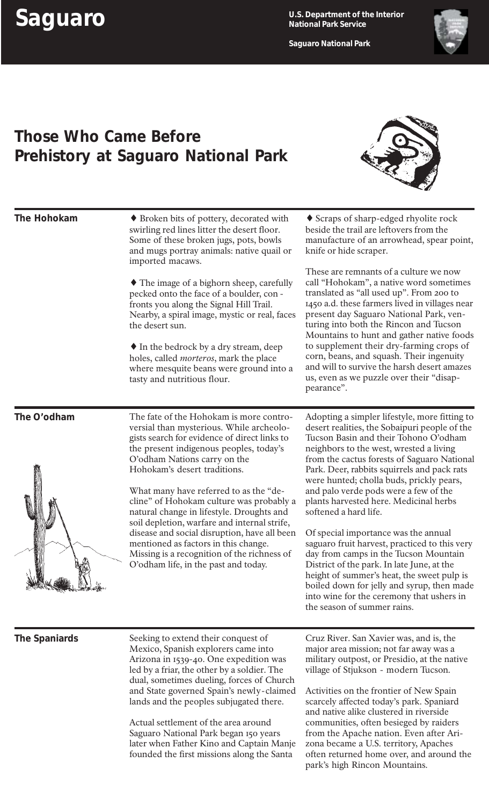**Saguaro National Park**



## **Those Who Came Before Prehistory at Saguaro National Park**



| The Hohokam      | • Broken bits of pottery, decorated with<br>swirling red lines litter the desert floor.<br>Some of these broken jugs, pots, bowls<br>and mugs portray animals: native quail or<br>imported macaws.<br>• The image of a bighorn sheep, carefully<br>pecked onto the face of a boulder, con-<br>fronts you along the Signal Hill Trail.<br>Nearby, a spiral image, mystic or real, faces<br>the desert sun.<br>$\bullet$ In the bedrock by a dry stream, deep<br>holes, called <i>morteros</i> , mark the place<br>where mesquite beans were ground into a<br>tasty and nutritious flour.                          | ◆ Scraps of sharp-edged rhyolite rock<br>beside the trail are leftovers from the<br>manufacture of an arrowhead, spear point,<br>knife or hide scraper.<br>These are remnants of a culture we now<br>call "Hohokam", a native word sometimes<br>translated as "all used up". From 200 to<br>1450 a.d. these farmers lived in villages near<br>present day Saguaro National Park, ven-<br>turing into both the Rincon and Tucson<br>Mountains to hunt and gather native foods<br>to supplement their dry-farming crops of<br>corn, beans, and squash. Their ingenuity<br>and will to survive the harsh desert amazes<br>us, even as we puzzle over their "disap-<br>pearance".                                                                                                                    |
|------------------|------------------------------------------------------------------------------------------------------------------------------------------------------------------------------------------------------------------------------------------------------------------------------------------------------------------------------------------------------------------------------------------------------------------------------------------------------------------------------------------------------------------------------------------------------------------------------------------------------------------|--------------------------------------------------------------------------------------------------------------------------------------------------------------------------------------------------------------------------------------------------------------------------------------------------------------------------------------------------------------------------------------------------------------------------------------------------------------------------------------------------------------------------------------------------------------------------------------------------------------------------------------------------------------------------------------------------------------------------------------------------------------------------------------------------|
| The O'odham<br>⚠ | The fate of the Hohokam is more contro-<br>versial than mysterious. While archeolo-<br>gists search for evidence of direct links to<br>the present indigenous peoples, today's<br>O'odham Nations carry on the<br>Hohokam's desert traditions.<br>What many have referred to as the "de-<br>cline" of Hohokam culture was probably a<br>natural change in lifestyle. Droughts and<br>soil depletion, warfare and internal strife,<br>disease and social disruption, have all been<br>mentioned as factors in this change.<br>Missing is a recognition of the richness of<br>O'odham life, in the past and today. | Adopting a simpler lifestyle, more fitting to<br>desert realities, the Sobaipuri people of the<br>Tucson Basin and their Tohono O'odham<br>neighbors to the west, wrested a living<br>from the cactus forests of Saguaro National<br>Park. Deer, rabbits squirrels and pack rats<br>were hunted; cholla buds, prickly pears,<br>and palo verde pods were a few of the<br>plants harvested here. Medicinal herbs<br>softened a hard life.<br>Of special importance was the annual<br>saguaro fruit harvest, practiced to this very<br>day from camps in the Tucson Mountain<br>District of the park. In late June, at the<br>height of summer's heat, the sweet pulp is<br>boiled down for jelly and syrup, then made<br>into wine for the ceremony that ushers in<br>the season of summer rains. |
| The Spaniards    | Seeking to extend their conquest of<br>Mexico, Spanish explorers came into<br>Arizona in 1539-40. One expedition was<br>led by a friar, the other by a soldier. The<br>dual, sometimes dueling, forces of Church<br>and State governed Spain's newly-claimed<br>lands and the peoples subjugated there.<br>Actual settlement of the area around<br>Saguaro National Park began 150 years<br>later when Father Kino and Captain Manje<br>founded the first missions along the Santa                                                                                                                               | Cruz River. San Xavier was, and is, the<br>major area mission; not far away was a<br>military outpost, or Presidio, at the native<br>village of Stjukson - modern Tucson.<br>Activities on the frontier of New Spain<br>scarcely affected today's park. Spaniard<br>and native alike clustered in riverside<br>communities, often besieged by raiders<br>from the Apache nation. Even after Ari-<br>zona became a U.S. territory, Apaches<br>often returned home over, and around the<br>park's high Rincon Mountains.                                                                                                                                                                                                                                                                           |